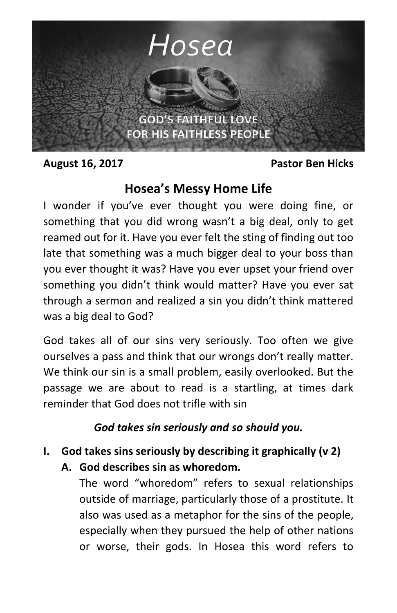

**August 16, 2017 Pastor Ben Hicks**

# **Hosea's Messy Home Life**

I wonder if you've ever thought you were doing fine, or something that you did wrong wasn't a big deal, only to get reamed out for it. Have you ever felt the sting of finding out too late that something was a much bigger deal to your boss than you ever thought it was? Have you ever upset your friend over something you didn't think would matter? Have you ever sat through a sermon and realized a sin you didn't think mattered was a big deal to God?

God takes all of our sins very seriously. Too often we give ourselves a pass and think that our wrongs don't really matter. We think our sin is a small problem, easily overlooked. But the passage we are about to read is a startling, at times dark reminder that God does not trifle with sin

#### *God takes sin seriously and so should you.*

# **I. God takes sins seriously by describing it graphically (v 2)**

**A. God describes sin as whoredom.**

The word "whoredom" refers to sexual relationships outside of marriage, particularly those of a prostitute. It also was used as a metaphor for the sins of the people, especially when they pursued the help of other nations or worse, their gods. In Hosea this word refers to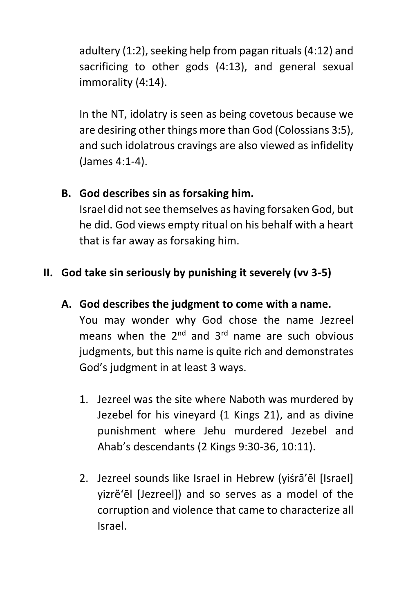adultery (1:2), seeking help from pagan rituals (4:12) and sacrificing to other gods (4:13), and general sexual immorality (4:14).

In the NT, idolatry is seen as being covetous because we are desiring other things more than God (Colossians 3:5), and such idolatrous cravings are also viewed as infidelity (James 4:1-4).

### **B. God describes sin as forsaking him.**

Israel did not see themselves as having forsaken God, but he did. God views empty ritual on his behalf with a heart that is far away as forsaking him.

## **II. God take sin seriously by punishing it severely (vv 3-5)**

- **A. God describes the judgment to come with a name.**  You may wonder why God chose the name Jezreel means when the  $2^{nd}$  and  $3^{rd}$  name are such obvious judgments, but this name is quite rich and demonstrates God's judgment in at least 3 ways.
	- 1. Jezreel was the site where Naboth was murdered by Jezebel for his vineyard (1 Kings 21), and as divine punishment where Jehu murdered Jezebel and Ahab's descendants (2 Kings 9:30-36, 10:11).
	- 2. Jezreel sounds like Israel in Hebrew (yiśrā'ēl [Israel] yizrĕ'ēl [Jezreel]) and so serves as a model of the corruption and violence that came to characterize all Israel.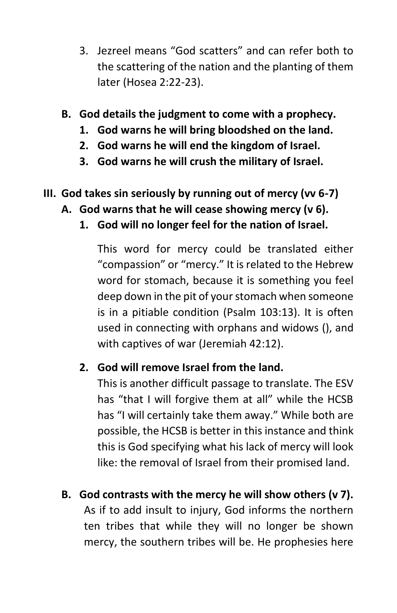- 3. Jezreel means "God scatters" and can refer both to the scattering of the nation and the planting of them later (Hosea 2:22-23).
- **B. God details the judgment to come with a prophecy.** 
	- **1. God warns he will bring bloodshed on the land.**
	- **2. God warns he will end the kingdom of Israel.**
	- **3. God warns he will crush the military of Israel.**
- **III. God takes sin seriously by running out of mercy (vv 6-7)**
	- **A. God warns that he will cease showing mercy (v 6).**
		- **1. God will no longer feel for the nation of Israel.**

This word for mercy could be translated either "compassion" or "mercy." It is related to the Hebrew word for stomach, because it is something you feel deep down in the pit of your stomach when someone is in a pitiable condition (Psalm 103:13). It is often used in connecting with orphans and widows (), and with captives of war (Jeremiah 42:12).

#### **2. God will remove Israel from the land.**

This is another difficult passage to translate. The ESV has "that I will forgive them at all" while the HCSB has "I will certainly take them away." While both are possible, the HCSB is better in this instance and think this is God specifying what his lack of mercy will look like: the removal of Israel from their promised land.

**B. God contrasts with the mercy he will show others (v 7).** As if to add insult to injury, God informs the northern ten tribes that while they will no longer be shown mercy, the southern tribes will be. He prophesies here